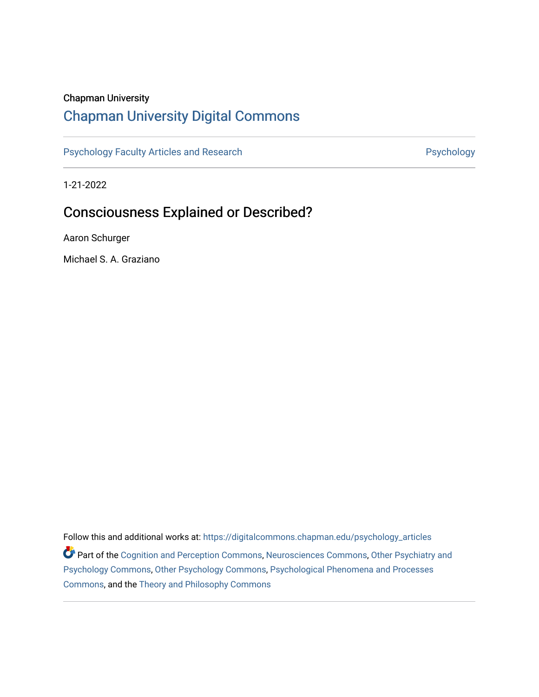## Chapman University

## [Chapman University Digital Commons](https://digitalcommons.chapman.edu/)

[Psychology Faculty Articles and Research](https://digitalcommons.chapman.edu/psychology_articles) **Psychology** Psychology

1-21-2022

# Consciousness Explained or Described?

Aaron Schurger

Michael S. A. Graziano

Follow this and additional works at: [https://digitalcommons.chapman.edu/psychology\\_articles](https://digitalcommons.chapman.edu/psychology_articles?utm_source=digitalcommons.chapman.edu%2Fpsychology_articles%2F284&utm_medium=PDF&utm_campaign=PDFCoverPages) **Part of the [Cognition and Perception Commons,](http://network.bepress.com/hgg/discipline/407?utm_source=digitalcommons.chapman.edu%2Fpsychology_articles%2F284&utm_medium=PDF&utm_campaign=PDFCoverPages) [Neurosciences Commons](http://network.bepress.com/hgg/discipline/1010?utm_source=digitalcommons.chapman.edu%2Fpsychology_articles%2F284&utm_medium=PDF&utm_campaign=PDFCoverPages), Other Psychiatry and** [Psychology Commons,](http://network.bepress.com/hgg/discipline/992?utm_source=digitalcommons.chapman.edu%2Fpsychology_articles%2F284&utm_medium=PDF&utm_campaign=PDFCoverPages) [Other Psychology Commons,](http://network.bepress.com/hgg/discipline/415?utm_source=digitalcommons.chapman.edu%2Fpsychology_articles%2F284&utm_medium=PDF&utm_campaign=PDFCoverPages) [Psychological Phenomena and Processes](http://network.bepress.com/hgg/discipline/914?utm_source=digitalcommons.chapman.edu%2Fpsychology_articles%2F284&utm_medium=PDF&utm_campaign=PDFCoverPages)  [Commons](http://network.bepress.com/hgg/discipline/914?utm_source=digitalcommons.chapman.edu%2Fpsychology_articles%2F284&utm_medium=PDF&utm_campaign=PDFCoverPages), and the [Theory and Philosophy Commons](http://network.bepress.com/hgg/discipline/1238?utm_source=digitalcommons.chapman.edu%2Fpsychology_articles%2F284&utm_medium=PDF&utm_campaign=PDFCoverPages)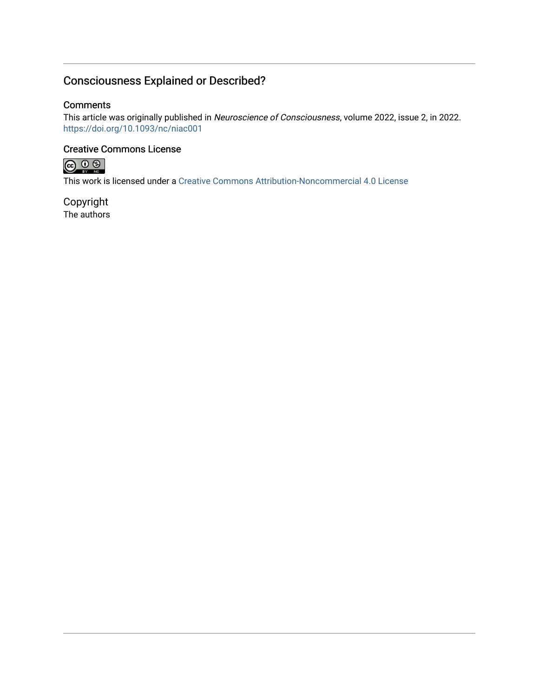## Consciousness Explained or Described?

## **Comments**

This article was originally published in Neuroscience of Consciousness, volume 2022, issue 2, in 2022. <https://doi.org/10.1093/nc/niac001>

## Creative Commons License



This work is licensed under a [Creative Commons Attribution-Noncommercial 4.0 License](https://creativecommons.org/licenses/by-nc/4.0/) 

Copyright The authors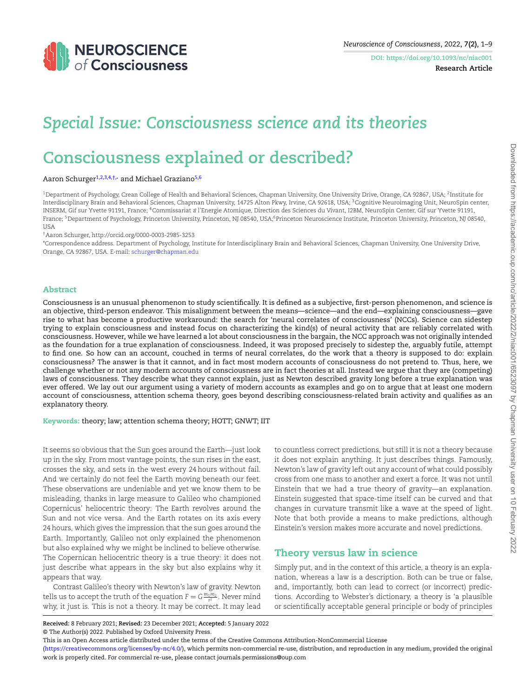

<span id="page-2-6"></span><span id="page-2-2"></span><span id="page-2-1"></span>**DOI: https://doi.org/10.1093/nc/niac001 Research Article**

# *Special Issue: Consciousness science and its theories*

# **Consciousness explained or described?**

#### Aaron Schurger<sup>[1](#page-2-0)[,2](#page-2-1),[3](#page-2-2)[,4,](#page-2-3)[†](#page-2-4),</sup>\* and Michael Graziano<sup>[5,](#page-2-5)[6](#page-2-6)</sup>

<span id="page-2-0"></span> $^{\rm 1}$ Department of Psychology, Crean College of Health and Behavioral Sciences, Chapman University, One University Drive, Orange, CA 92867, USA;  $^{\rm 2}$ Institute for Interdisciplinary Brain and Behavioral Sciences, Chapman University, 14725 Alton Pkwy, Irvine, CA 92618, USA; <sup>3</sup>Cognitive Neuroimaging Unit, NeuroSpin center, INSERM, Gif sur Yvette 91191, France; <sup>4</sup>Commissariat a`l'Energie Atomique, Direction des Sciences du Vivant, I2BM, NeuroSpin Center, Gif sur Yvette 91191, France; <sup>5</sup>Department of Psychology, Princeton University, Princeton, NJ 08540, USA;<sup>6</sup>Princeton Neuroscience Institute, Princeton University, Princeton, NJ 08540, **USA** 

<span id="page-2-5"></span><span id="page-2-3"></span>†Aaron Schurger, http://orcid.org/0000-0003-2985-3253

<span id="page-2-4"></span>\*Correspondence address. Department of Psychology, Institute for Interdisciplinary Brain and Behavioral Sciences, Chapman University, One University Drive, Orange, CA 92867, USA. E-mail: [schurger@chapman.edu](mailto:schurger@chapman.edu)

#### **Abstract**

Consciousness is an unusual phenomenon to study scientifically. It is defined as a subjective, first-person phenomenon, and science is an objective, third-person endeavor. This misalignment between the means—science—and the end—explaining consciousness—gave rise to what has become a productive workaround: the search for 'neural correlates of consciousness' (NCCs). Science can sidestep trying to explain consciousness and instead focus on characterizing the kind(s) of neural activity that are reliably correlated with consciousness. However, while we have learned a lot about consciousness in the bargain, the NCC approach was not originally intended as the foundation for a true explanation of consciousness. Indeed, it was proposed precisely to sidestep the, arguably futile, attempt to find one. So how can an account, couched in terms of neural correlates, do the work that a theory is supposed to do: explain consciousness? The answer is that it cannot, and in fact most modern accounts of consciousness do not pretend to. Thus, here, we challenge whether or not any modern accounts of consciousness are in fact theories at all. Instead we argue that they are (competing) laws of consciousness. They describe what they cannot explain, just as Newton described gravity long before a true explanation was ever offered. We lay out our argument using a variety of modern accounts as examples and go on to argue that at least one modern account of consciousness, attention schema theory, goes beyond describing consciousness-related brain activity and qualifies as an explanatory theory.

**Keywords:** theory; law; attention schema theory; HOTT; GNWT; IIT

It seems so obvious that the Sun goes around the Earth—just look up in the sky. From most vantage points, the sun rises in the east, crosses the sky, and sets in the west every 24 hours without fail. And we certainly do not feel the Earth moving beneath our feet. These observations are undeniable and yet we know them to be misleading, thanks in large measure to Galileo who championed Copernicus' heliocentric theory: The Earth revolves around the Sun and not vice versa. And the Earth rotates on its axis every 24 hours, which gives the impression that the sun goes around the Earth. Importantly, Galileo not only explained the phenomenon but also explained why we might be inclined to believe otherwise. The Copernican heliocentric theory is a true theory: it does not just describe what appears in the sky but also explains why it appears that way.

Contrast Galileo's theory with Newton's law of gravity. Newton tells us to accept the truth of the equation  $F = G \frac{m_1 m_2}{r^2}$  . Never mind why, it just is. This is not a theory. It may be correct. It may lead

to countless correct predictions, but still it is not a theory because it does not explain anything. It just describes things. Famously, Newton's law of gravity left out any account of what could possibly cross from one mass to another and exert a force. It was not until Einstein that we had a true theory of gravity—an explanation. Einstein suggested that space-time itself can be curved and that changes in curvature transmit like a wave at the speed of light. Note that both provide a means to make predictions, although Einstein's version makes more accurate and novel predictions.

## **Theory versus law in science**

Simply put, and in the context of this article, a theory is an explanation, whereas a law is a description. Both can be true or false, and, importantly, both can lead to correct (or incorrect) predictions. According to Webster's dictionary, a theory is 'a plausible or scientifically acceptable general principle or body of principles

**Received:** 8 February 2021; **Revised:** 23 December 2021; **Accepted:** 5 January 2022 © The Author(s) 2022. Published by Oxford University Press.

This is an Open Access article distributed under the terms of the Creative Commons Attribution-NonCommercial License

[<sup>\(</sup>https://creativecommons.org/licenses/by-nc/4.0/](https://creativecommons.org/licenses/by-nc/4.0/)), which permits non-commercial re-use, distribution, and reproduction in any medium, provided the original work is properly cited. For commercial re-use, please contact journals.permissions@oup.com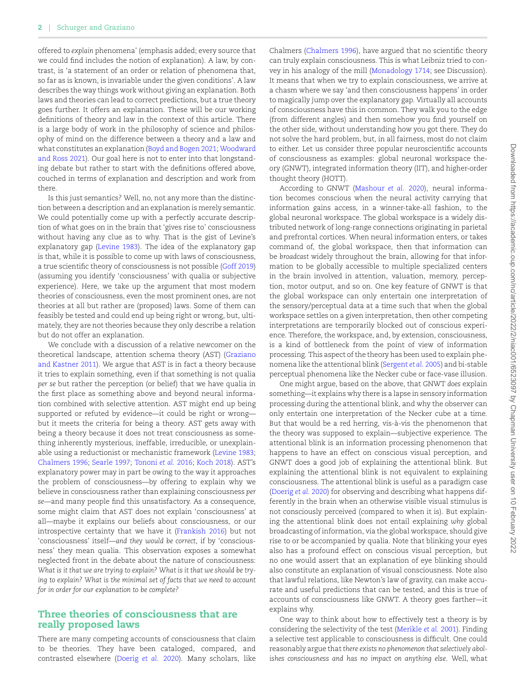offered to *explain* phenomena' (emphasis added; every source that we could find includes the notion of explanation). A law, by contrast, is 'a statement of an order or relation of phenomena that, so far as is known, is invariable under the given conditions'. A law describes the way things work without giving an explanation. Both laws and theories can lead to correct predictions, but a true theory goes further. It offers an explanation. These will be our working definitions of theory and law in the context of this article. There is a large body of work in the philosophy of science and philosophy of mind on the difference between a theory and a law and what constitutes an explanation([Boyd and Bogen 2021;](#page-9-0) [Woodward](#page-10-0) [and Ross 2021\)](#page-10-0). Our goal here is not to enter into that longstanding debate but rather to start with the definitions offered above, couched in terms of explanation and description and work from there.

Is this just semantics? Well, no, not any more than the distinction between a description and an explanation is merely semantic. We could potentially come up with a perfectly accurate description of what goes on in the brain that 'gives rise to' consciousness without having any clue as to why. That is the gist of Levine's explanatory gap([Levine 1983\)](#page-9-1). The idea of the explanatory gap is that, while it is possible to come up with laws of consciousness, a true scientific theory of consciousness is not possible [\(Goff 2019](#page-9-2)) (assuming you identify 'consciousness' with qualia or subjective experience). Here, we take up the argument that most modern theories of consciousness, even the most prominent ones, are not theories at all but rather are (proposed) laws. Some of them can feasibly be tested and could end up being right or wrong, but, ultimately, they are not theories because they only describe a relation but do not offer an explanation.

We conclude with a discussion of a relative newcomer on the theoretical landscape, attention schema theory (AST) [\(Graziano](#page-9-3) [and Kastner 2011\)](#page-9-3). We argue that AST is in fact a theory because it tries to explain something, even if that something is not qualia *per se* but rather the perception (or belief) that we have qualia in the first place as something above and beyond neural information combined with selective attention. AST might end up being supported or refuted by evidence—it could be right or wrong but it meets the criteria for being a theory. AST gets away with being a theory because it does not treat consciousness as something inherently mysterious, ineffable, irreducible, or unexplainable using a reductionist or mechanistic framework([Levine 1983;](#page-9-1) [Chalmers 1996;](#page-9-4) [Searle 1997](#page-9-5); [Tononi](#page-9-6) *et al.* 2016; [Koch 2018](#page-9-7)). AST's explanatory power may in part be owing to the way it approaches the problem of consciousness—by offering to explain why we believe in consciousness rather than explaining consciousness *per se*—and many people find this unsatisfactory. As a consequence, some might claim that AST does not explain 'consciousness' at all—maybe it explains our beliefs about consciousness, or our introspective certainty that we have it [\(Frankish 2016\)](#page-9-8) but not 'consciousness' itself—*and they would be correct*, if by 'consciousness' they mean qualia. This observation exposes a somewhat neglected front in the debate about the nature of consciousness: *What is it that we are trying to explain? What is it that we should be trying to explain? What is the minimal set of facts that we need to account for in order for our explanation to be complete?*

### **Three theories of consciousness that are really proposed laws**

There are many competing accounts of consciousness that claim to be theories. They have been cataloged, compared, and contrasted elsewhere([Doerig](#page-9-9) *et al.* 2020). Many scholars, like Chalmers([Chalmers 1996\)](#page-9-4), have argued that no scientific theory can truly explain consciousness. This is what Leibniz tried to convey in his analogy of the mill([Monadology 1714](#page-9-10); see Discussion). It means that when we try to explain consciousness, we arrive at a chasm where we say 'and then consciousness happens' in order to magically jump over the explanatory gap. Virtually all accounts of consciousness have this in common. They walk you to the edge (from different angles) and then somehow you find yourself on the other side, without understanding how you got there. They do not solve the hard problem, but, in all fairness, most do not claim to either. Let us consider three popular neuroscientific accounts of consciousness as examples: global neuronal workspace theory (GNWT), integrated information theory (IIT), and higher-order thought theory (HOTT).

According to GNWT [\(Mashour](#page-9-11) *et al.* 2020), neural information becomes conscious when the neural activity carrying that information gains access, in a winner-take-all fashion, to the global neuronal workspace. The global workspace is a widely distributed network of long-range connections originating in parietal and prefrontal cortices. When neural information enters, or takes command of, the global workspace, then that information can be *broadcast* widely throughout the brain, allowing for that information to be globally accessible to multiple specialized centers in the brain involved in attention, valuation, memory, perception, motor output, and so on. One key feature of GNWT is that the global workspace can only entertain one interpretation of the sensory/perceptual data at a time such that when the global workspace settles on a given interpretation, then other competing interpretations are temporarily blocked out of conscious experience. Therefore, the workspace, and, by extension, consciousness, is a kind of bottleneck from the point of view of information processing. This aspect of the theory has been used to explain phenomena like the attentional blink [\(Sergent](#page-9-12) *et al.* 2005) and bi-stable perceptual phenomena like the Necker cube or face-vase illusion.

One might argue, based on the above, that GNWT *does* explain something—it explains why there is a lapse in sensory information processing during the attentional blink, and why the observer can only entertain one interpretation of the Necker cube at a time. But that would be a red herring, vis-à-vis the phenomenon that the theory was supposed to explain—subjective experience. The attentional blink is an information processing phenomenon that happens to have an effect on conscious visual perception, and GNWT does a good job of explaining the attentional blink. But explaining the attentional blink is not equivalent to explaining consciousness. The attentional blink is useful as a paradigm case ([Doerig](#page-9-9) *et al.* 2020) for observing and describing what happens differently in the brain when an otherwise visible visual stimulus is not consciously perceived (compared to when it is). But explaining the attentional blink does not entail explaining *why* global broadcasting of information, via the global workspace, should give rise to or be accompanied by qualia. Note that blinking your eyes also has a profound effect on conscious visual perception, but no one would assert that an explanation of eye blinking should also constitute an explanation of visual consciousness. Note also that lawful relations, like Newton's law of gravity, can make accurate and useful predictions that can be tested, and this is true of accounts of consciousness like GNWT. A theory goes farther—it explains why.

One way to think about how to effectively test a theory is by considering the selectivity of the test [\(Merikle](#page-9-13) *et al.* 2001). Finding a selective test applicable to consciousness is difficult. One could reasonably argue that *there exists no phenomenon that selectively abolishes consciousness and has no impact on anything else*. Well, what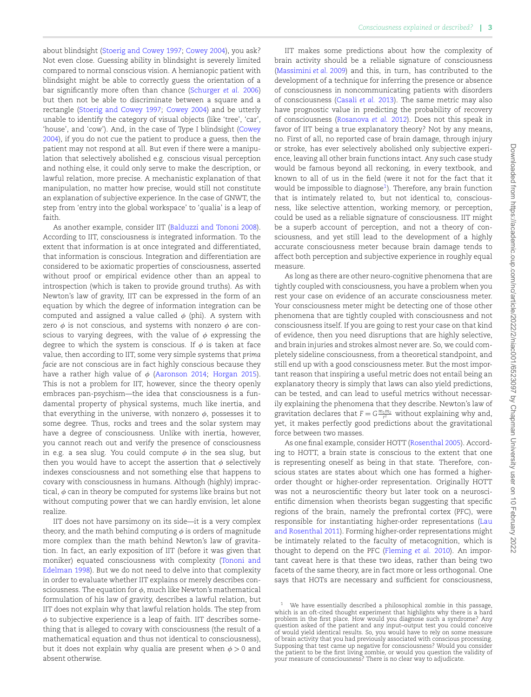about blindsight([Stoerig and Cowey 1997;](#page-9-14) [Cowey 2004\)](#page-9-15), you ask? Not even close. Guessing ability in blindsight is severely limited compared to normal conscious vision. A hemianopic patient with blindsight might be able to correctly guess the orientation of a bar significantly more often than chance [\(Schurger](#page-9-16) *et al.* 2006) but then not be able to discriminate between a square and a rectangle([Stoerig and Cowey 1997;](#page-9-14) [Cowey 2004\)](#page-9-15) and be utterly unable to identify the category of visual objects (like 'tree', 'car', 'house', and 'cow'). And, in the case of Type I blindsight [\(Cowey](#page-9-15) [2004\)](#page-9-15), if you do not cue the patient to produce a guess, then the patient may not respond at all. But even if there were a manipulation that selectively abolished e.g. conscious visual perception and nothing else, it could only serve to make the description, or lawful relation, more precise. A mechanistic explanation of that manipulation, no matter how precise, would still not constitute an explanation of subjective experience. In the case of GNWT, the step from 'entry into the global workspace' to 'qualia' is a leap of faith.

As another example, consider IIT([Balduzzi and Tononi 2008\)](#page-9-17). According to IIT, consciousness *is* integrated information. To the extent that information is at once integrated and differentiated, that information is conscious. Integration and differentiation are considered to be axiomatic properties of consciousness, asserted without proof or empirical evidence other than an appeal to introspection (which is taken to provide ground truths). As with Newton's law of gravity, IIT can be expressed in the form of an equation by which the degree of information integration can be computed and assigned a value called *ϕ* (phi). A system with zero *ϕ* is not conscious, and systems with nonzero *ϕ* are conscious to varying degrees, with the value of  $\phi$  expressing the degree to which the system is conscious. If  $\phi$  is taken at face value, then according to IIT, some very simple systems that *prima facie* are not conscious are in fact highly conscious because they have a rather high value of *ϕ* [\(Aaronson 2014;](#page-9-18) [Horgan 2015\)](#page-9-19). This is not a problem for IIT, however, since the theory openly embraces pan-psychism—the idea that consciousness is a fundamental property of physical systems, much like inertia, and that everything in the universe, with nonzero *ϕ*, possesses it to some degree. Thus, rocks and trees and the solar system may have a degree of consciousness. Unlike with inertia, however, you cannot reach out and verify the presence of consciousness in e.g. a sea slug. You could compute  $\phi$  in the sea slug, but then you would have to accept the assertion that *ϕ* selectively indexes consciousness and not something else that happens to covary with consciousness in humans. Although (highly) impractical,  $\phi$  can in theory be computed for systems like brains but not without computing power that we can hardly envision, let alone realize.

IIT does not have parsimony on its side—it is a very complex theory, and the math behind computing  $\phi$  is orders of magnitude more complex than the math behind Newton's law of gravitation. In fact, an early exposition of IIT (before it was given that moniker) equated consciousness with complexity [\(Tononi and](#page-9-20) [Edelman 1998\)](#page-9-20). But we do not need to delve into that complexity in order to evaluate whether IIT explains or merely describes consciousness. The equation for *ϕ*, much like Newton's mathematical formulation of his law of gravity, describes a lawful relation, but IIT does not explain why that lawful relation holds. The step from *ϕ* to subjective experience is a leap of faith. IIT describes something that is alleged to covary with consciousness (the result of a mathematical equation and thus not identical to consciousness), but it does not explain why qualia are present when *ϕ >* 0 and absent otherwise.

IIT makes some predictions about how the complexity of brain activity should be a reliable signature of consciousness [\(Massimini](#page-9-21) *et al.* 2009) and this, in turn, has contributed to the development of a technique for inferring the presence or absence of consciousness in noncommunicating patients with disorders of consciousness([Casali](#page-9-22) *et al.* 2013). The same metric may also have prognostic value in predicting the probability of recovery of consciousness [\(Rosanova](#page-9-23) *et al.* 2012). Does not this speak in favor of IIT being a true explanatory theory? Not by any means, no. First of all, no reported case of brain damage, through injury or stroke, has ever selectively abolished only subjective experience, leaving all other brain functions intact. Any such case study would be famous beyond all reckoning, in every textbook, and known to all of us in the field (were it not for the fact that it would be impossible to diagnose $^1$  $^1$ ). Therefore, any brain function that is intimately related to, but not identical to, consciousness, like selective attention, working memory, or perception, could be used as a reliable signature of consciousness. IIT might be a superb account of perception, and not a theory of consciousness, and yet still lead to the development of a highly accurate consciousness meter because brain damage tends to affect both perception and subjective experience in roughly equal measure.

As long as there are other neuro-cognitive phenomena that are tightly coupled with consciousness, you have a problem when you rest your case on evidence of an accurate consciousness meter. Your consciousness meter might be detecting one of those other phenomena that are tightly coupled with consciousness and not consciousness itself. If you are going to rest your case on that kind of evidence, then you need disruptions that are highly selective, and brain injuries and strokes almost never are. So, we could completely sideline consciousness, from a theoretical standpoint, and still end up with a good consciousness meter. But the most important reason that inspiring a useful metric does not entail being an explanatory theory is simply that laws can also yield predictions, can be tested, and can lead to useful metrics without necessarily explaining the phenomena that they describe. Newton's law of gravitation declares that  $F = G \frac{m_1 m_2}{r^2}$  without explaining why and, yet, it makes perfectly good predictions about the gravitational force between two masses.

As one final example, consider HOTT [\(Rosenthal 2005\)](#page-9-24). According to HOTT, a brain state is conscious to the extent that one is representing oneself as being in that state. Therefore, conscious states are states about which one has formed a higherorder thought or higher-order representation. Originally HOTT was not a neuroscientific theory but later took on a neuroscientific dimension when theorists began suggesting that specific regions of the brain, namely the prefrontal cortex (PFC), were responsible for instantiating higher-order representations [\(Lau](#page-9-25) [and Rosenthal 2011](#page-9-25)). Forming higher-order representations might be intimately related to the faculty of metacognition, which is thought to depend on the PFC([Fleming](#page-9-26) *et al.* 2010). An important caveat here is that these two ideas, rather than being two facets of the same theory, are in fact more or less orthogonal. One says that HOTs are necessary and sufficient for consciousness,

<span id="page-4-0"></span>We have essentially described a philosophical zombie in this passage which is an oft-cited thought experiment that highlights why there is a hard problem in the first place. How would you diagnose such a syndrome? Any question asked of the patient and any input–output test you could conceive of would yield identical results. So, you would have to rely on some measure of brain activity that you had previously associated with conscious processing. Supposing that test came up negative for consciousness? Would you consider the patient to be the first living zombie, or would you question the validity of your measure of consciousness? There is no clear way to adjudicate.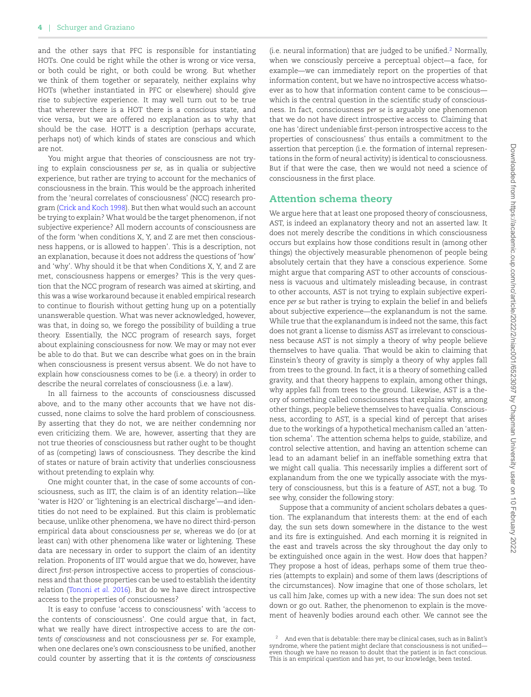and the other says that PFC is responsible for instantiating HOTs. One could be right while the other is wrong or vice versa, or both could be right, or both could be wrong. But whether we think of them together or separately, neither explains why HOTs (whether instantiated in PFC or elsewhere) should give rise to subjective experience. It may well turn out to be true that wherever there is a HOT there is a conscious state, and vice versa, but we are offered no explanation as to why that should be the case. HOTT is a description (perhaps accurate, perhaps not) of which kinds of states are conscious and which are not.

You might argue that theories of consciousness are not trying to explain consciousness *per se*, as in qualia or subjective experience, but rather are trying to account for the mechanics of consciousness in the brain. This would be the approach inherited from the 'neural correlates of consciousness' (NCC) research program [\(Crick and Koch 1998\)](#page-9-27). But then what would such an account be trying to explain? What would be the target phenomenon, if not subjective experience? All modern accounts of consciousness are of the form 'when conditions X, Y, and Z are met then consciousness happens, or is allowed to happen'. This is a description, not an explanation, because it does not address the questions of 'how' and 'why'. Why should it be that when Conditions X, Y, and Z are met, consciousness happens or emerges? This is the very question that the NCC program of research was aimed at skirting, and this was a wise workaround because it enabled empirical research to continue to flourish without getting hung up on a potentially unanswerable question. What was never acknowledged, however, was that, in doing so, we forego the possibility of building a true theory. Essentially, the NCC program of research says, forget about explaining consciousness for now. We may or may not ever be able to do that. But we can describe what goes on in the brain when consciousness is present versus absent. We do not have to explain how consciousness comes to be (i.e. a theory) in order to describe the neural correlates of consciousness (i.e. a law).

In all fairness to the accounts of consciousness discussed above, and to the many other accounts that we have not discussed, none claims to solve the hard problem of consciousness. By asserting that they do not, we are neither condemning nor even criticizing them. We are, however, asserting that they are not true theories of consciousness but rather ought to be thought of as (competing) laws of consciousness. They describe the kind of states or nature of brain activity that underlies consciousness without pretending to explain why.

One might counter that, in the case of some accounts of consciousness, such as IIT, the claim is of an identity relation—like 'water is H2O' or 'lightening is an electrical discharge'—and identities do not need to be explained. But this claim is problematic because, unlike other phenomena, we have no direct third-person empirical data about consciousness *per se*, whereas we do (or at least can) with other phenomena like water or lightening. These data are necessary in order to support the claim of an identity relation. Proponents of IIT would argue that we do, however, have direct *first-person* introspective access to properties of consciousness and that those properties can be used to establish the identity relation [\(Tononi](#page-9-6) *et al.* 2016). But do we have direct introspective access to the properties of consciousness?

It is easy to confuse 'access to consciousness' with 'access to the contents of consciousness'. One could argue that, in fact, what we really have direct introspective access to are *the contents of consciousness* and not consciousness *per se*. For example, when one declares one's own consciousness to be unified, another could counter by asserting that it is *the contents of consciousness*  $(i.e.$  neural information) that are judged to be unified.<sup>[2](#page-5-0)</sup> Normally, when we consciously perceive a perceptual object—a face, for example—we can immediately report on the properties of that information content, but we have no introspective access whatsoever as to how that information content came to be conscious which is the central question in the scientific study of consciousness. In fact, consciousness *per se* is arguably one phenomenon that we do not have direct introspective access to. Claiming that one has 'direct undeniable first-person introspective access to the properties of consciousness' thus entails a commitment to the assertion that perception (i.e. the formation of internal representations in the form of neural activity) is identical to consciousness. But if that were the case, then we would not need a science of consciousness in the first place.

### **Attention schema theory**

We argue here that at least one proposed theory of consciousness, AST, is indeed an explanatory theory and not an asserted law. It does not merely describe the conditions in which consciousness occurs but explains how those conditions result in (among other things) the objectively measurable phenomenon of people being absolutely certain that they have a conscious experience. Some might argue that comparing AST to other accounts of consciousness is vacuous and ultimately misleading because, in contrast to other accounts, AST is not trying to explain subjective experience *per se* but rather is trying to explain the belief in and beliefs about subjective experience—the explanandum is not the same. While true that the explanandum is indeed not the same, this fact does not grant a license to dismiss AST as irrelevant to consciousness because AST is not simply a theory of why people believe themselves to have qualia. That would be akin to claiming that Einstein's theory of gravity is simply a theory of why apples fall from trees to the ground. In fact, it is a theory of something called gravity, and that theory happens to explain, among other things, why apples fall from trees to the ground. Likewise, AST is a theory of something called consciousness that explains why, among other things, people believe themselves to have qualia. Consciousness, according to AST, is a special kind of percept that arises due to the workings of a hypothetical mechanism called an 'attention schema'. The attention schema helps to guide, stabilize, and control selective attention, and having an attention scheme can lead to an adamant belief in an ineffable something extra that we might call qualia. This necessarily implies a different sort of explanandum from the one we typically associate with the mystery of consciousness, but this is a feature of AST, not a bug. To see why, consider the following story:

Suppose that a community of ancient scholars debates a question. The explanandum that interests them: at the end of each day, the sun sets down somewhere in the distance to the west and its fire is extinguished. And each morning it is reignited in the east and travels across the sky throughout the day only to be extinguished once again in the west. How does that happen? They propose a host of ideas, perhaps some of them true theories (attempts to explain) and some of them laws (descriptions of the circumstances). Now imagine that one of those scholars, let us call him Jake, comes up with a new idea: The sun does not set down or go out. Rather, the phenomenon to explain is the movement of heavenly bodies around each other. We cannot see the

<span id="page-5-0"></span><sup>2</sup> And even that is debatable: there may be clinical cases, such as in Balint's syndrome, where the patient might declare that consciousness is not unified even though we have no reason to doubt that the patient is in fact conscious. This is an empirical question and has yet, to our knowledge, been tested.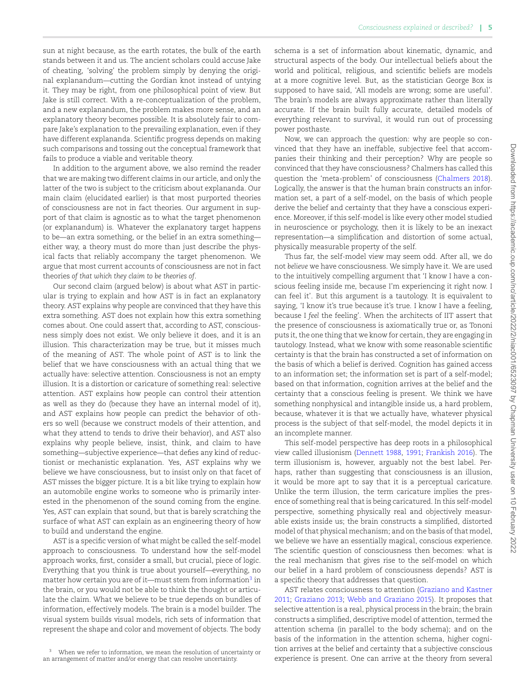sun at night because, as the earth rotates, the bulk of the earth stands between it and us. The ancient scholars could accuse Jake of cheating, 'solving' the problem simply by denying the original explanandum—cutting the Gordian knot instead of untying it. They may be right, from one philosophical point of view. But Jake is still correct. With a re-conceptualization of the problem, and a new explanandum, the problem makes more sense, and an explanatory theory becomes possible. It is absolutely fair to compare Jake's explanation to the prevailing explanation, even if they have different explananda. Scientific progress depends on making such comparisons and tossing out the conceptual framework that fails to produce a viable and veritable theory.

In addition to the argument above, we also remind the reader that we are making two different claims in our article, and only the latter of the two is subject to the criticism about explananda. Our main claim (elucidated earlier) is that most purported theories of consciousness are not in fact theories. Our argument in support of that claim is agnostic as to what the target phenomenon (or explanandum) is. Whatever the explanatory target happens to be—an extra something, or the belief in an extra something either way, a theory must do more than just describe the physical facts that reliably accompany the target phenomenon. We argue that most current accounts of consciousness are not in fact theories *of that which they claim to be theories of*.

Our second claim (argued below) is about what AST in particular is trying to explain and how AST is in fact an explanatory theory. AST explains why people are convinced that they have this extra something. AST does not explain how this extra something comes about. One could assert that, according to AST, consciousness simply does not exist. We only believe it does, and it is an illusion. This characterization may be true, but it misses much of the meaning of AST. The whole point of AST is to link the belief that we have consciousness with an actual thing that we actually have: selective attention. Consciousness is not an empty illusion. It is a distortion or caricature of something real: selective attention. AST explains how people can control their attention as well as they do (because they have an internal model of it), and AST explains how people can predict the behavior of others so well (because we construct models of their attention, and what they attend to tends to drive their behavior), and AST also explains why people believe, insist, think, and claim to have something—subjective experience—that defies any kind of reductionist or mechanistic explanation. Yes, AST explains why we believe we have consciousness, but to insist only on that facet of AST misses the bigger picture. It is a bit like trying to explain how an automobile engine works to someone who is primarily interested in the phenomenon of the sound coming from the engine. Yes, AST can explain that sound, but that is barely scratching the surface of what AST can explain as an engineering theory of how to build and understand the engine.

AST is a specific version of what might be called the self-model approach to consciousness. To understand how the self-model approach works, first, consider a small, but crucial, piece of logic. Everything that you think is true about yourself—everything, no matter how certain you are of it—must stem from information<sup>[3](#page-6-0)</sup> in the brain, or you would not be able to think the thought or articulate the claim. What we believe to be true depends on bundles of information, effectively models. The brain is a model builder. The visual system builds visual models, rich sets of information that represent the shape and color and movement of objects. The body

<span id="page-6-0"></span><sup>3</sup> When we refer to information, we mean the resolution of uncertainty or an arrangement of matter and/or energy that can resolve uncertainty.

schema is a set of information about kinematic, dynamic, and structural aspects of the body. Our intellectual beliefs about the world and political, religious, and scientific beliefs are models at a more cognitive level. But, as the statistician George Box is supposed to have said, 'All models are wrong; some are useful'. The brain's models are always approximate rather than literally accurate. If the brain built fully accurate, detailed models of everything relevant to survival, it would run out of processing power posthaste.

Now, we can approach the question: why are people so convinced that they have an ineffable, subjective feel that accompanies their thinking and their perception? Why are people so convinced that they have consciousness? Chalmers has called this question the 'meta-problem' of consciousness([Chalmers 2018\)](#page-9-28). Logically, the answer is that the human brain constructs an information set, a part of a self-model, on the basis of which people derive the belief and certainty that they have a conscious experience. Moreover, if this self-model is like every other model studied in neuroscience or psychology, then it is likely to be an inexact representation—a simplification and distortion of some actual, physically measurable property of the self.

Thus far, the self-model view may seem odd. After all, we do not *believe* we have consciousness. We simply have it. We are used to the intuitively compelling argument that 'I know I have a conscious feeling inside me, because I'm experiencing it right now. I can feel it'. But this argument is a tautology. It is equivalent to saying, 'I know it's true because it's true. I know I have a feeling, because I *feel* the feeling'. When the architects of IIT assert that the presence of consciousness is axiomatically true or, as Tononi puts it, the one thing that we know for certain, they are engaging in tautology. Instead, what we know with some reasonable scientific certainty is that the brain has constructed a set of information on the basis of which a belief is derived. Cognition has gained access to an information set; the information set is part of a self-model; based on that information, cognition arrives at the belief and the certainty that a conscious feeling is present. We think we have something nonphysical and intangible inside us, a hard problem, because, whatever it is that we actually have, whatever physical process is the subject of that self-model, the model depicts it in an incomplete manner.

This self-model perspective has deep roots in a philosophical view called illusionism([Dennett 1988](#page-9-29), [1991;](#page-9-30) [Frankish 2016](#page-9-8)). The term illusionism is, however, arguably not the best label. Perhaps, rather than suggesting that consciousness is an illusion, it would be more apt to say that it is a perceptual caricature. Unlike the term illusion, the term caricature implies the presence of something real that is being caricatured. In this self-model perspective, something physically real and objectively measurable exists inside us; the brain constructs a simplified, distorted model of that physical mechanism; and on the basis of that model, we believe we have an essentially magical, conscious experience. The scientific question of consciousness then becomes: what is the real mechanism that gives rise to the self-model on which our belief in a hard problem of consciousness depends? AST is a specific theory that addresses that question.

AST relates consciousness to attention [\(Graziano and Kastner](#page-9-3) [2011](#page-9-3); [Graziano 2013](#page-9-31); [Webb and Graziano 2015](#page-9-32)). It proposes that selective attention is a real, physical process in the brain; the brain constructs a simplified, descriptive model of attention, termed the attention schema (in parallel to the body schema); and on the basis of the information in the attention schema, higher cognition arrives at the belief and certainty that a subjective conscious experience is present. One can arrive at the theory from several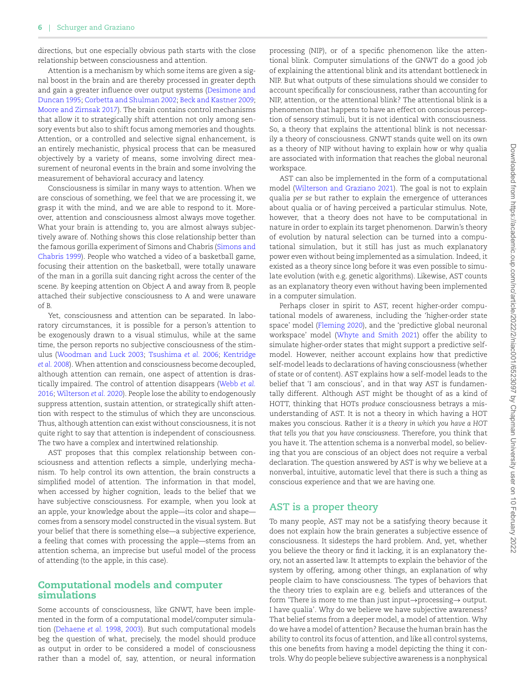directions, but one especially obvious path starts with the close relationship between consciousness and attention.

Attention is a mechanism by which some items are given a signal boost in the brain and are thereby processed in greater depth and gain a greater influence over output systems([Desimone and](#page-9-33) [Duncan 1995](#page-9-33); [Corbetta and Shulman 2002;](#page-9-34) [Beck and Kastner 2009;](#page-9-35) [Moore and Zirnsak 2017\)](#page-9-36). The brain contains control mechanisms that allow it to strategically shift attention not only among sensory events but also to shift focus among memories and thoughts. Attention, or a controlled and selective signal enhancement, is an entirely mechanistic, physical process that can be measured objectively by a variety of means, some involving direct measurement of neuronal events in the brain and some involving the measurement of behavioral accuracy and latency.

Consciousness is similar in many ways to attention. When we are conscious of something, we feel that we are processing it, we grasp it with the mind, and we are able to respond to it. Moreover, attention and consciousness almost always move together. What your brain is attending to, you are almost always subjectively aware of. Nothing shows this close relationship better than the famous gorilla experiment of Simons and Chabris [\(Simons and](#page-9-37) [Chabris 1999](#page-9-37)). People who watched a video of a basketball game, focusing their attention on the basketball, were totally unaware of the man in a gorilla suit dancing right across the center of the scene. By keeping attention on Object A and away from B, people attached their subjective consciousness to A and were unaware of B.

Yet, consciousness and attention can be separated. In laboratory circumstances, it is possible for a person's attention to be exogenously drawn to a visual stimulus, while at the same time, the person reports no subjective consciousness of the stimulus [\(Woodman and Luck 2003](#page-10-1); [Tsushima](#page-9-38) *et al.* 2006; [Kentridge](#page-9-39) *et al.* [2008\)](#page-9-39). When attention and consciousness become decoupled, although attention can remain, one aspect of attention is drastically impaired. The control of attention disappears [\(Webb](#page-9-40) *et al.* [2016;](#page-9-40) [Wilterson](#page-10-2) *et al.* 2020). People lose the ability to endogenously suppress attention, sustain attention, or strategically shift attention with respect to the stimulus of which they are unconscious. Thus, although attention can exist without consciousness, it is not quite right to say that attention is independent of consciousness. The two have a complex and intertwined relationship.

AST proposes that this complex relationship between consciousness and attention reflects a simple, underlying mechanism. To help control its own attention, the brain constructs a simplified model of attention. The information in that model, when accessed by higher cognition, leads to the belief that we have subjective consciousness. For example, when you look at an apple, your knowledge about the apple—its color and shape comes from a sensory model constructed in the visual system. But your belief that there is something else—a subjective experience, a feeling that comes with processing the apple—stems from an attention schema, an imprecise but useful model of the process of attending (to the apple, in this case).

#### **Computational models and computer simulations**

Some accounts of consciousness, like GNWT, have been implemented in the form of a computational model/computer simulation([Dehaene](#page-9-41) *et al.* 1998, [2003](#page-9-42)). But such computational models beg the question of what, precisely, the model should produce as output in order to be considered a model of consciousness rather than a model of, say, attention, or neural information processing (NIP), or of a specific phenomenon like the attentional blink. Computer simulations of the GNWT do a good job of explaining the attentional blink and its attendant bottleneck in NIP. But what outputs of these simulations should we consider to account specifically for consciousness, rather than accounting for NIP, attention, or the attentional blink? The attentional blink is a phenomenon that happens to have an effect on conscious perception of sensory stimuli, but it is not identical with consciousness. So, a theory that explains the attentional blink is not necessarily a theory of consciousness. GNWT stands quite well on its own as a theory of NIP without having to explain how or why qualia are associated with information that reaches the global neuronal workspace.

AST can also be implemented in the form of a computational model [\(Wilterson and Graziano 2021](#page-10-3)). The goal is not to explain qualia *per se* but rather to explain the emergence of utterances about qualia or of having perceived a particular stimulus. Note, however, that a theory does not have to be computational in nature in order to explain its target phenomenon. Darwin's theory of evolution by natural selection can be turned into a computational simulation, but it still has just as much explanatory power even without being implemented as a simulation. Indeed, it existed as a theory since long before it was even possible to simulate evolution (with e.g. genetic algorithms). Likewise, AST counts as an explanatory theory even without having been implemented in a computer simulation.

Perhaps closer in spirit to AST, recent higher-order computational models of awareness, including the 'higher-order state space' model([Fleming 2020\)](#page-9-43), and the 'predictive global neuronal workspace' model([Whyte and Smith 2021\)](#page-9-44) offer the ability to simulate higher-order states that might support a predictive selfmodel. However, neither account explains how that predictive self-model leads to declarations of having consciousness (whether of state or of content). AST explains how a self-model leads to the belief that 'I am conscious', and in that way AST is fundamentally different. Although AST might be thought of as a kind of HOTT, thinking that HOTs *produce* consciousness betrays a misunderstanding of AST. It is not a theory in which having a HOT makes you conscious. Rather *it is a theory in which you have a HOT that tells you that you have consciousness*. Therefore, you think that you have it. The attention schema is a nonverbal model, so believing that you are conscious of an object does not require a verbal declaration. The question answered by AST is why we believe at a nonverbal, intuitive, automatic level that there is such a thing as conscious experience and that we are having one.

## **AST is a proper theory**

To many people, AST may not be a satisfying theory because it does not explain how the brain generates a subjective essence of consciousness. It sidesteps the hard problem. And, yet, whether you believe the theory or find it lacking, it is an explanatory theory, not an asserted law. It attempts to explain the behavior of the system by offering, among other things, an explanation of why people claim to have consciousness. The types of behaviors that the theory tries to explain are e.g. beliefs and utterances of the form 'There is more to me than just input*→*processing*→* output. I have qualia'. Why do we believe we have subjective awareness? That belief stems from a deeper model, a model of attention. Why do we have a model of attention? Because the human brain has the ability to control its focus of attention, and like all control systems, this one benefits from having a model depicting the thing it controls. Why do people believe subjective awareness is a nonphysical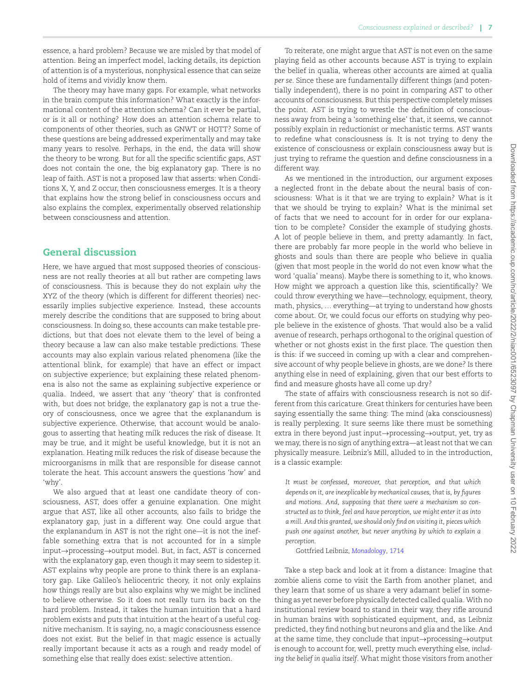essence, a hard problem? Because we are misled by that model of attention. Being an imperfect model, lacking details, its depiction of attention is of a mysterious, nonphysical essence that can seize hold of items and vividly know them.

The theory may have many gaps. For example, what networks in the brain compute this information? What exactly is the informational content of the attention schema? Can it ever be partial, or is it all or nothing? How does an attention schema relate to components of other theories, such as GNWT or HOTT? Some of these questions are being addressed experimentally and may take many years to resolve. Perhaps, in the end, the data will show the theory to be wrong. But for all the specific scientific gaps, AST does not contain the one, the big explanatory gap. There is no leap of faith. AST is not a proposed law that asserts: when Conditions X, Y, and Z occur, then consciousness emerges. It is a theory that explains how the strong belief in consciousness occurs and also explains the complex, experimentally observed relationship between consciousness and attention.

## **General discussion**

Here, we have argued that most supposed theories of consciousness are not really theories at all but rather are competing laws of consciousness. This is because they do not explain *why* the XYZ of the theory (which is different for different theories) necessarily implies subjective experience. Instead, these accounts merely describe the conditions that are supposed to bring about consciousness. In doing so, these accounts can make testable predictions, but that does not elevate them to the level of being a theory because a law can also make testable predictions. These accounts may also explain various related phenomena (like the attentional blink, for example) that have an effect or impact on subjective experience; but explaining these related phenomena is also not the same as explaining subjective experience or qualia. Indeed, we assert that any 'theory' that is confronted with, but does not bridge, the explanatory gap is not a true theory of consciousness, once we agree that the explanandum is subjective experience. Otherwise, that account would be analogous to asserting that heating milk reduces the risk of disease. It may be true, and it might be useful knowledge, but it is not an explanation. Heating milk reduces the risk of disease because the microorganisms in milk that are responsible for disease cannot tolerate the heat. This account answers the questions 'how' and 'why'.

We also argued that at least one candidate theory of consciousness, AST, does offer a genuine explanation. One might argue that AST, like all other accounts, also fails to bridge the explanatory gap, just in a different way. One could argue that the explanandum in AST is not the right one—it is not the ineffable something extra that is not accounted for in a simple input*→*processing*→*output model. But, in fact, AST *is* concerned with the explanatory gap, even though it may seem to sidestep it. AST explains why people are prone to think there is an explanatory gap. Like Galileo's heliocentric theory, it not only explains how things really are but also explains why we might be inclined to believe otherwise. So it does not really turn its back on the hard problem. Instead, it takes the human intuition that a hard problem exists and puts that intuition at the heart of a useful cognitive mechanism. It is saying, no, a magic consciousness essence does not exist. But the belief in that magic essence is actually really important because it acts as a rough and ready model of something else that really does exist: selective attention.

To reiterate, one might argue that AST is not even on the same playing field as other accounts because AST is trying to explain the belief in qualia, whereas other accounts are aimed at qualia *per se*. Since these are fundamentally different things (and potentially independent), there is no point in comparing AST to other accounts of consciousness. But this perspective completely misses the point. AST is trying to wrestle the definition of consciousness away from being a 'something else' that, it seems, we cannot possibly explain in reductionist or mechanistic terms. AST wants to redefine what consciousness is. It is not trying to deny the existence of consciousness or explain consciousness away but is just trying to reframe the question and define consciousness in a different way.

As we mentioned in the introduction, our argument exposes a neglected front in the debate about the neural basis of consciousness: What is it that we are trying to explain? What is it that we should be trying to explain? What is the minimal set of facts that we need to account for in order for our explanation to be complete? Consider the example of studying ghosts. A lot of people believe in them, and pretty adamantly. In fact, there are probably far more people in the world who believe in ghosts and souls than there are people who believe in qualia (given that most people in the world do not even know what the word 'qualia' means). Maybe there is something to it, who knows. How might we approach a question like this, scientifically? We could throw everything we have—technology, equipment, theory, math, physics, … everything—at trying to understand how ghosts come about. Or, we could focus our efforts on studying why people believe in the existence of ghosts. That would also be a valid avenue of research, perhaps orthogonal to the original question of whether or not ghosts exist in the first place. The question then is this: if we succeed in coming up with a clear and comprehensive account of why people believe in ghosts, are we done? Is there anything else in need of explaining, given that our best efforts to find and measure ghosts have all come up dry?

The state of affairs with consciousness research is not so different from this caricature. Great thinkers for centuries have been saying essentially the same thing: The mind (aka consciousness) is really perplexing. It sure seems like there must be something extra in there beyond just input*→*processing*→*output, yet, try as we may, there is no sign of anything extra—at least not that we can physically measure. Leibniz's Mill, alluded to in the introduction, is a classic example:

*It must be confessed, moreover, that perception, and that which depends on it, are inexplicable by mechanical causes, that is, by figures and motions. And, supposing that there were a mechanism so constructed as to think, feel and have perception, we might enter it as into a mill. And this granted, we should only find on visiting it, pieces which push one against another, but never anything by which to explain a perception.*

Gottfried Leibniz, *[Monadology](#page-9-10)*, 1714

Take a step back and look at it from a distance: Imagine that zombie aliens come to visit the Earth from another planet, and they learn that some of us share a very adamant belief in something as yet never before physically detected called qualia. With no institutional review board to stand in their way, they rifle around in human brains with sophisticated equipment, and, as Leibniz predicted, they find nothing but neurons and glia and the like. And at the same time, they conclude that input*→*processing*→*output is enough to account for, well, pretty much everything else, *including the belief in qualia itself*. What might those visitors from another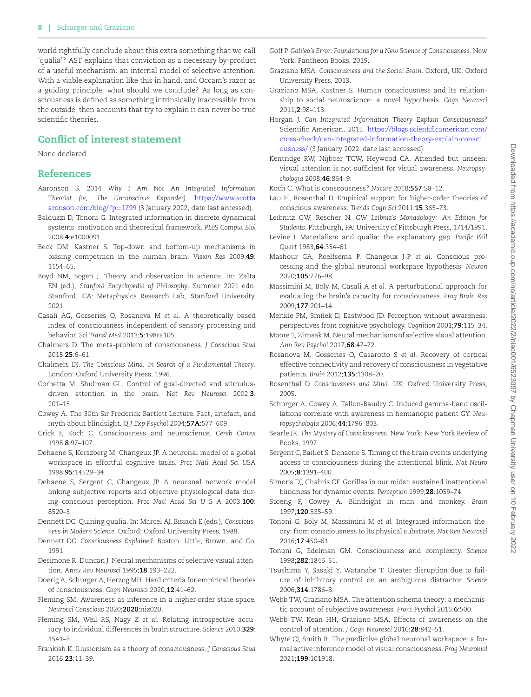world rightfully conclude about this extra something that we call 'qualia'? AST explains that conviction as a necessary by-product of a useful mechanism: an internal model of selective attention. With a viable explanation like this in hand, and Occam's razor as a guiding principle, what should we conclude? As long as consciousness is defined as something intrinsically inaccessible from the outside, then accounts that try to explain it can never be true scientific theories.

## **Conflict of interest statement**

None declared.

## **References**

- <span id="page-9-18"></span>Aaronson S. 2014 *Why I Am Not An Integrated Information Theorist (or, The Unconscious Expander)*. [https://www.scotta](https://www.scottaaronson.com/blog/?p=1799) [aronson.com/blog/?p](https://www.scottaaronson.com/blog/?p=1799)=1799 (3 January 2022, date last accessed).
- <span id="page-9-17"></span>Balduzzi D, Tononi G. Integrated information in discrete dynamical systems: motivation and theoretical framework. *PLoS Comput Biol* 2008;**4**:e1000091.
- <span id="page-9-35"></span>Beck DM, Kastner S. Top-down and bottom-up mechanisms in biasing competition in the human brain. *Vision Res* 2009;**49**: 1154–65.
- <span id="page-9-0"></span>Boyd NM, Bogen J. Theory and observation in science. In: Zalta EN (ed.), *Stanford Encyclopedia of Philosophy*. Summer 2021 edn. Stanford, CA: Metaphysics Research Lab, Stanford University, 2021.
- <span id="page-9-22"></span>Casali AG, Gosseries O, Rosanova M *et al.* A theoretically based index of consciousness independent of sensory processing and behavior. *Sci Transl Med* 2013;**5**:198ra105.
- <span id="page-9-28"></span>Chalmers D. The meta-problem of consciousness. *J Conscious Stud* 2018;**25**:6–61.
- <span id="page-9-4"></span>Chalmers DJ. *The Conscious Mind: In Search of a Fundamental Theory*. London: Oxford University Press, 1996.
- <span id="page-9-34"></span>Corbetta M, Shulman GL. Control of goal-directed and stimulusdriven attention in the brain. *Nat Rev Neurosci* 2002;**3**: 201–15.
- <span id="page-9-15"></span>Cowey A. The 30th Sir Frederick Bartlett Lecture. Fact, artefact, and myth about blindsight. *Q J Exp Psychol* 2004;**57A**:577–609.
- <span id="page-9-27"></span>Crick F, Koch C. Consciousness and neuroscience. *Cereb Cortex* 1998;**8**:97–107.
- <span id="page-9-41"></span>Dehaene S, Kerszberg M, Changeux JP. A neuronal model of a global workspace in effortful cognitive tasks. *Proc Natl Acad Sci USA* 1998;**95**:14529–34.
- <span id="page-9-42"></span>Dehaene S, Sergent C, Changeux JP. A neuronal network model linking subjective reports and objective physiological data during conscious perception. *Proc Natl Acad Sci U S A* 2003;**100**: 8520–5.
- <span id="page-9-29"></span>Dennett DC. Quining qualia. In: Marcel AJ, Bisiach E (eds.), *Consciousness in Modern Science*. Oxford: Oxford University Press, 1988.
- <span id="page-9-30"></span>Dennett DC. *Consciousness Explained*. Boston: Little, Brown, and Co, 1991.
- <span id="page-9-33"></span>Desimone R. Duncan J. Neural mechanisms of selective visual attention. *Annu Rev Neurosci* 1995;**18**:193–222.
- <span id="page-9-9"></span>Doerig A, Schurger A, Herzog MH. Hard criteria for empirical theories of consciousness. *Cogn Neurosci* 2020;**12**:41–62.
- <span id="page-9-43"></span>Fleming SM. Awareness as inference in a higher-order state space. *Neurosci Conscious* 2020;**2020**:niz020.
- <span id="page-9-26"></span>Fleming SM, Weil RS, Nagy Z *et al.* Relating introspective accuracy to individual differences in brain structure. *Science* 2010;**329**: 1541–3.
- <span id="page-9-8"></span>Frankish K. Illusionism as a theory of consciousness. *J Conscious Stud* 2016;**23**:11–39.
- <span id="page-9-2"></span>Goff P. *Galileo's Error: Foundations for a New Science of Consciousness*. New York: Pantheon Books, 2019.
- <span id="page-9-31"></span>Graziano MSA. *Consciousness and the Social Brain*. Oxford, UK: Oxford University Press, 2013.
- <span id="page-9-3"></span>Graziano MSA, Kastner S. Human consciousness and its relationship to social neuroscience: a novel hypothesis. *Cogn Neurosci* 2011;**2**:98–113.
- <span id="page-9-19"></span>Horgan J. *Can Integrated Information Theory Explain Consciousness?* Scientific American, 2015. [https://blogs.scientificamerican.com/](https://blogs.scientificamerican.com/cross-check/can-integrated-information-theory-explain-consciousness/) [cross-check/can-integrated-information-theory-explain-consci](https://blogs.scientificamerican.com/cross-check/can-integrated-information-theory-explain-consciousness/) [ousness/](https://blogs.scientificamerican.com/cross-check/can-integrated-information-theory-explain-consciousness/) (3 January 2022, date last accessed).
- <span id="page-9-39"></span>Kentridge RW, Nijboer TCW, Heywood CA. Attended but unseen: visual attention is not sufficient for visual awareness. *Neuropsychologia* 2008;**46**:864–9.
- <span id="page-9-7"></span>Koch C. What is conscousness? *Nature* 2018;**557**:S8–12.
- <span id="page-9-25"></span>Lau H, Rosenthal D. Empirical support for higher-order theories of conscious awareness. *Trends Cogn Sci* 2011;**15**:365–73.
- <span id="page-9-10"></span>Leibnitz GW, Rescher N. *GW Leibniz's Monadology: An Edition for Students*. Pittsburgh, PA: University of Pittsburgh Press, 1714/1991.
- <span id="page-9-1"></span>Levine J. Materialism and qualia: the explanatory gap. *Pacific Phil Quart* 1983;**64**:354–61.
- <span id="page-9-11"></span>Mashour GA, Roelfsema P, Changeux J-P *et al.* Conscious processing and the global neuronal workspace hypothesis. *Neuron* 2020;**105**:776–98.
- <span id="page-9-21"></span>Massimini M, Boly M, Casali A *et al.* A perturbational approach for evaluating the brain's capacity for consciousness. *Prog Brain Res* 2009;**177**:201–14.
- <span id="page-9-13"></span>Merikle PM, Smilek D, Eastwood JD. Perception without awareness: perspectives from cognitive psychology. *Cognition* 2001;**79**:115–34.
- <span id="page-9-36"></span>Moore T, Zirnsak M. Neural mechanisms of selective visual attention. *Ann Rev Psychol* 2017;**68**:47–72.
- <span id="page-9-23"></span>Rosanova M, Gosseries O, Casarotto S *et al.* Recovery of cortical effective connectivity and recovery of consciousness in vegetative patients. *Brain* 2012;**135**:1308–20.
- <span id="page-9-24"></span>Rosenthal D. *Consciousness and Mind*. UK: Oxford University Press, 2005.
- <span id="page-9-16"></span>Schurger A, Cowey A, Tallon-Baudry C. Induced gamma-band oscillations correlate with awareness in hemianopic patient GY. *Neuropsychologia* 2006;**44**:1796–803.
- <span id="page-9-5"></span>Searle JR. *The Mystery of Consciousness*. New York: New York Review of Books, 1997.
- <span id="page-9-12"></span>Sergent C, Baillet S, Dehaene S. Timing of the brain events underlying access to consciousness during the attentional blink. *Nat Neuro* 2005;**8**:1391–400.
- <span id="page-9-37"></span>Simons DJ, Chabris CF. Gorillas in our midst: sustained inattentional blindness for dynamic events. *Perception* 1999;**28**:1059–74.
- <span id="page-9-14"></span>Stoerig P, Cowey A. Blindsight in man and monkey. *Brain* 1997;**120**:535–59.
- <span id="page-9-6"></span>Tononi G, Boly M, Massimini M *et al.* Integrated information theory: from consciousness to its physical substrate. *Nat Rev Neurosci* 2016;**17**:450–61.
- <span id="page-9-20"></span>Tononi G, Edelman GM. Consciousness and complexity. *Science* 1998;**282**:1846–51.
- <span id="page-9-38"></span>Tsushima Y, Sasaki Y, Watanabe T. Greater disruption due to failure of inhibitory control on an ambiguous distractor. *Science* 2006;**314**:1786–8.
- <span id="page-9-32"></span>Webb TW, Graziano MSA. The attention schema theory: a mechanistic account of subjective awareness. *Front Psychol* 2015;**6**:500.
- <span id="page-9-40"></span>Webb TW, Kean HH, Graziano MSA. Effects of awareness on the control of attention. *J Cogn Neurosci* 2016;**28**:842–51.
- <span id="page-9-44"></span>Whyte CJ, Smith R. The predictive global neuronal workspace: a formal active inference model of visual consciousness. *Prog Neurobiol* 2021;**199**:101918.